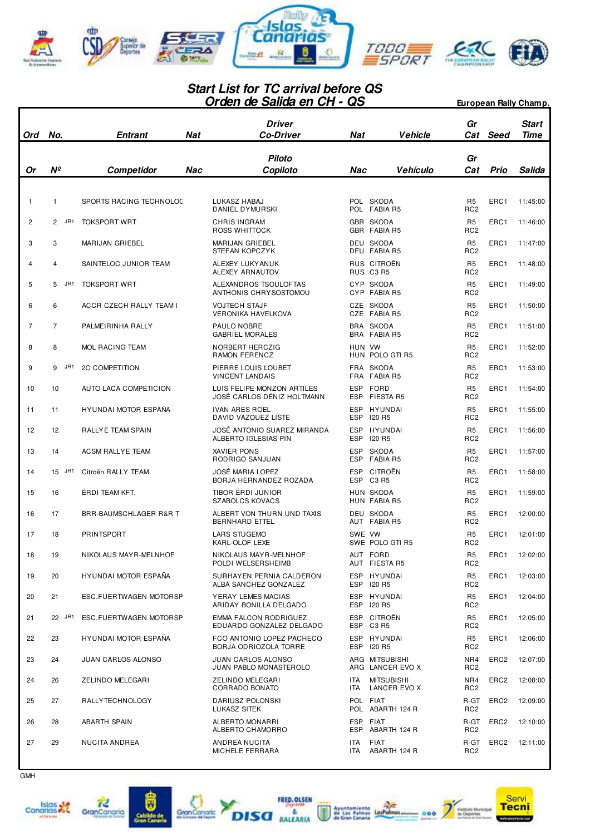

## **Orden de Salida en CH - QS Start List for TC arrival before QS European Rally Champ.**

| Ord            | No.                   | <b>Entrant</b><br>Nat       | <b>Driver</b><br><b>Co-Driver</b>                        | Nat                      | <b>Vehicle</b>                     | Gr<br>Cat                         | Seed             | Start<br>Time |
|----------------|-----------------------|-----------------------------|----------------------------------------------------------|--------------------------|------------------------------------|-----------------------------------|------------------|---------------|
| Or             | Nº                    | Competidor<br>Nac           | <b>Piloto</b><br>Copiloto                                | Nac                      | <b>Vehículo</b>                    | Gr<br>Cat                         | Prio             | Salida        |
|                |                       |                             |                                                          |                          |                                    |                                   |                  |               |
| $\mathbf{1}$   | 1                     | SPORTS RACING TECHNOLOG     | LUKASZ HABAJ<br>DANIEL DYMURSKI                          |                          | POL SKODA<br>POL FABIA R5          | R <sub>5</sub><br>RC <sub>2</sub> | ERC1             | 11:45:00      |
| $\overline{2}$ | JR1<br>$\overline{2}$ | <b>TOKSPORT WRT</b>         | <b>CHRIS INGRAM</b><br>ROSS WHITTOCK                     |                          | GBR SKODA<br>GBR FABIA R5          | R <sub>5</sub><br>RC <sub>2</sub> | ERC1             | 11:46:00      |
| 3              | 3                     | MARIJAN GRIEBEL             | <b>MARIJAN GRIEBEL</b><br><b>STEFAN KOPCZYK</b>          |                          | DEU SKODA<br>DEU FABIA R5          | R <sub>5</sub><br>RC <sub>2</sub> | ERC1             | 11:47:00      |
| 4              | 4                     | SAINTELOC JUNIOR TEAM       | ALEXEY LUKY ANUK<br>ALEXEY ARNAUTOV                      |                          | RUS CITROËN<br>RUS C3 R5           | R <sub>5</sub><br>RC <sub>2</sub> | ERC1             | 11:48:00      |
| 5              | 5<br>JR1              | <b>TOKSPORT WRT</b>         | ALEXANDROS TSOULOFTAS<br>ANTHONIS CHRYSOSTOMOU           |                          | CYP SKODA<br>CYP FABIA R5          | R <sub>5</sub><br>RC <sub>2</sub> | ERC1             | 11:49:00      |
| 6              | 6                     | ACCR CZECH RALLY TEAM I     | <b>VOJTECH STAJF</b><br><b>VERONIKA HAVELKOVA</b>        |                          | CZE SKODA<br>CZE FABIA R5          | R <sub>5</sub><br>RC <sub>2</sub> | ERC1             | 11:50:00      |
| 7              | 7                     | PALMEIRINHA RALLY           | PAULO NOBRE<br><b>GABRIEL MORALES</b>                    |                          | BRA SKODA<br>BRA FABIA R5          | R <sub>5</sub><br>RC <sub>2</sub> | ERC1             | 11:51:00      |
| 8              | 8                     | <b>MOL RACING TEAM</b>      | NORBERT HERCZIG<br><b>RAMON FERENCZ</b>                  | HUN VW                   | HUN POLO GTI R5                    | R <sub>5</sub><br>RC <sub>2</sub> | ERC1             | 11:52:00      |
| 9              | JR1<br>9              | <b>2C COMPETITION</b>       | PIERRE LOUIS LOUBET<br><b>VINCENT LANDAIS</b>            | FRA                      | FRA SKODA<br>FABIA R5              | R <sub>5</sub><br>RC <sub>2</sub> | ERC1             | 11:53:00      |
| 10             | 10                    | AUTO LACA COMPETICION       | LUIS FELIPE MONZON ARTILES<br>JOSÉ CARLOS DÉNIZ HOLTMANN | <b>ESP</b><br><b>ESP</b> | <b>FORD</b><br>FIESTA R5           | R <sub>5</sub><br>RC <sub>2</sub> | ERC1             | 11:54:00      |
| 11             | 11                    | HYUNDAI MOTOR ESPAÑA        | <b>IVAN ARES ROEL</b><br>DAVID VAZQUEZ LISTE             | <b>ESP</b><br><b>ESP</b> | HYUNDAI<br><b>I20 R5</b>           | R <sub>5</sub><br>RC <sub>2</sub> | ERC1             | 11:55:00      |
| 12             | 12                    | RALLYE TEAM SPAIN           | JOSÉ ANTONIO SUAREZ MIRANDA<br>ALBERTO IGLESIAS PIN      | <b>ESP</b><br><b>ESP</b> | HYUNDAI<br><b>I20 R5</b>           | R <sub>5</sub><br>RC <sub>2</sub> | ERC1             | 11:56:00      |
| 13             | 14                    | <b>ACSM RALLYE TEAM</b>     | XAVIER PONS<br>RODRIGO SANJUAN                           | <b>ESP</b><br><b>ESP</b> | <b>SKODA</b><br><b>FABIA R5</b>    | R <sub>5</sub><br>RC <sub>2</sub> | ERC1             | 11:57:00      |
| 14             | 15 JR1                | Citroën RALLY TEAM          | <b>JOSÉ MARIA LOPEZ</b><br>BORJA HERNANDEZ ROZADA        | <b>ESP</b>               | CITROËN<br>ESP C3 R5               | R <sub>5</sub><br>RC <sub>2</sub> | ERC1             | 11:58:00      |
| 15             | 16                    | ÉRDI TEAM KFT.              | TIBOR ÉRDI JUNIOR<br><b>SZABOLCS KOVACS</b>              |                          | HUN SKODA<br>HUN FABIA R5          | R <sub>5</sub><br>RC <sub>2</sub> | ERC1             | 11:59:00      |
| 16             | 17                    | BRR-BAUMSCHLAGER R&R T      | ALBERT VON THURN UND TAXIS<br><b>BERNHARD ETTEL</b>      |                          | DEU SKODA<br>AUT FABIA R5          | R <sub>5</sub><br>RC <sub>2</sub> | ERC1             | 12:00:00      |
| 17             | 18                    | PRINTSPORT                  | <b>LARS STUGEMO</b><br>KARL-OLOF LEXE                    | SWE VW                   | SWE POLO GTI R5                    | R <sub>5</sub><br>RC <sub>2</sub> | ERC1             | 12:01:00      |
| 18             | 19                    | NIKOLAUS MAY R-MELNHOF      | NIKOLAUS MAYR-MELNHOF<br>POLDI WELSERSHEIMB              |                          | AUT FORD<br>AUT FIESTA R5          | R5<br>RC <sub>2</sub>             | ERC1             | 12:02:00      |
| 19             | 20                    | <b>HYUNDAI MOTOR ESPAÑA</b> | SURHAYEN PERNIA CALDERON<br>ALBA SANCHEZ GONZALEZ        |                          | ESP HYUNDAI<br>ESP 120 R5          | R <sub>5</sub><br>RC <sub>2</sub> | ERC1             | 12:03:00      |
| 20             | 21                    | ESC.FUERTWAGEN MOTORSP      | YERAY LEMES MACIAS<br>ARIDAY BONILLA DELGADO             |                          | ESP HYUNDAI<br>ESP 120 R5          | R <sub>5</sub><br>RC <sub>2</sub> | ERC1             | 12:04:00      |
| 21             | 22 JR1                | ESC.FUERTWAGEN MOTORSP      | <b>EMMA FALCON RODRIGUEZ</b><br>EDUARDO GONZALEZ DELGADO |                          | ESP CITROËN<br>ESP C3 R5           | R <sub>5</sub><br>RC <sub>2</sub> | ERC1             | 12:05:00      |
| 22             | 23                    | <b>HYUNDAI MOTOR ESPAÑA</b> | FCO ANTONIO LOPEZ PACHECO<br>BORJA ODRIOZOLA TORRE       |                          | ESP HYUNDAI<br>ESP 120 R5          | R <sub>5</sub><br>RC <sub>2</sub> | ERC1             | 12:06:00      |
| 23             | 24                    | JUAN CARLOS ALONSO          | <b>JUAN CARLOS ALONSO</b><br>JUAN PABLO MONASTEROLO      |                          | ARG MITSUBISHI<br>ARG LANCER EVO X | NR4<br>RC <sub>2</sub>            | ERC <sub>2</sub> | 12:07:00      |
| 24             | 26                    | ZELINDO MELEGARI            | <b>ZELINDO MELEGARI</b><br>CORRADO BONATO                | ITA<br>ITA               | <b>MITSUBISHI</b><br>LANCER EVO X  | NR4<br>RC <sub>2</sub>            | ERC <sub>2</sub> | 12:08:00      |
| 25             | 27                    | RALLY TECHNOLOGY            | DARIUSZ POLONSKI<br>LUKASZ SITEK                         |                          | POL FIAT<br>POL ABARTH 124 R       | R-GT<br>RC <sub>2</sub>           | ERC <sub>2</sub> | 12:09:00      |
| 26             | 28                    | <b>ABARTH SPAIN</b>         | ALBERTO MONARRI<br>ALBERTO CHAMORRO                      |                          | ESP FIAT<br>ESP ABARTH 124 R       | R-GT<br>RC <sub>2</sub>           | ERC <sub>2</sub> | 12:10:00      |
| 27             | 29                    | NUCITA ANDREA               | ANDREA NUCITA<br>MICHELE FERRARA                         | ITA<br>ITA               | FIAT<br>ABARTH 124 R               | R-GT<br>RC <sub>2</sub>           | ERC <sub>2</sub> | 12:11:00      |







ā